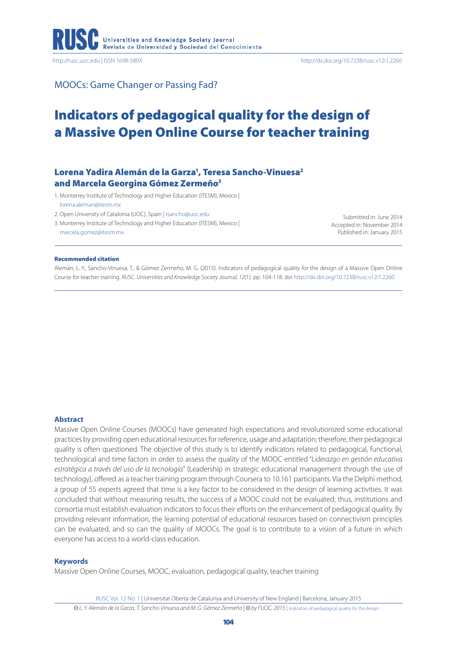

MOOCs: Game Changer or Passing Fad?

# Indicators of pedagogical quality for the design of a Massive Open Online Course for teacher training

# Lorena Yadira Alemán de la Garza<sup>1</sup>, Teresa Sancho-Vinuesa<del>?</del> and Marcela Georgina Gómez Zermeño<sup>3</sup>

1. Monterrey Institute of Technology and Higher Education (ITESM), Mexico | [lorena.aleman@itesm.mx](mailto:lorena.aleman@itesm.mx)

2. Open University of Catalonia (UOC), Spain | [tsancho@uoc.edu](mailto:tsancho@uoc.edu)

3. Monterrey Institute of Technology and Higher Education (ITESM), Mexico | [marcela.gomez@itesm.mx](mailto:marcela.gomez@itesm.mx)

Submitted in: June 2014 Accepted in: November 2014 Published in: January 2015

#### Recommended citation

Alemán, L. Y., Sancho-Vinuesa, T., & Gómez Zermeño, M. G. (2015). Indicators of pedagogical quality for the design of a Massive Open Online Course for teacher training. *RUSC. Universities and Knowledge Society Journal, 12*(1). pp. 104-118. doi <http://dx.doi.org/10.7238/rusc.v12i1.2260>

#### **Abstract**

Massive Open Online Courses (MOOCs) have generated high expectations and revolutionized some educational practices by providing open educational resources for reference, usage and adaptation; therefore, their pedagogical quality is often questioned. The objective of this study is to identify indicators related to pedagogical, functional, technological and time factors in order to assess the quality of the MOOC entitled "*Liderazgo en gestión educativa estratégica a través del uso de la tecnología*" (Leadership in strategic educational management through the use of technology), offered as a teacher training program through Coursera to 10.161 participants. Via the Delphi method, a group of 55 experts agreed that time is a key factor to be considered in the design of learning activities. It was concluded that without measuring results, the success of a MOOC could not be evaluated; thus, institutions and consortia must establish evaluation indicators to focus their efforts on the enhancement of pedagogical quality. By providing relevant information, the learning potential of educational resources based on connectivism principles can be evaluated, and so can the quality of MOOCs. The goal is to contribute to a vision of a future in which everyone has access to a world-class education.

#### **Keywords**

Massive Open Online Courses, MOOC, evaluation, pedagogical quality, teacher training

RUSC Vol. 12 No. 1 | Universitat Oberta de Catalunya and University of New England | Barcelona, January 2015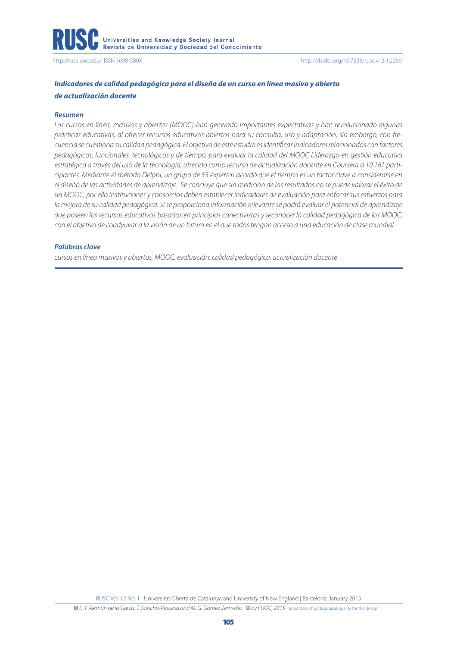# *Indicadores de calidad pedagógica para el diseño de un curso en línea masivo y abierto de actualización docente*

#### *Resumen*

*Los cursos en línea, masivos y abiertos (MOOC) han generado importantes expectativas y han revolucionado algunas prácticas educativas, al ofrecer recursos educativos abiertos para su consulta, uso y adaptación; sin embargo, con frecuencia se cuestiona su calidad pedagógica. El objetivo de este estudio es identificar indicadores relacionados con factores pedagógicos, funcionales, tecnológicos y de tiempo, para evaluar la calidad del MOOC Liderazgo en gestión educativa estratégica a través del uso de la tecnología, ofrecido como recurso de actualización docente en Coursera a 10.161 participantes. Mediante el método Delphi, un grupo de 55 expertos acordó que el tiempo es un factor clave a considerarse en el diseño de las actividades de aprendizaje. Se concluye que sin medición de los resultados no se puede valorar el éxito de un MOOC, por ello instituciones y consorcios deben establecer indicadores de evaluación para enfocar sus esfuerzos para la mejora de su calidad pedagógica. Si se proporciona información relevante se podrá evaluar el potencial de aprendizaje que poseen los recursos educativos basados en principios conectivistas y reconocer la calidad pedagógica de los MOOC, con el objetivo de coadyuvar a la visión de un futuro en el que todos tengan acceso a una educación de clase mundial.* 

#### *Palabras clave*

*cursos en línea masivos y abiertos, MOOC, evaluación, calidad pedagógica, actualización docente*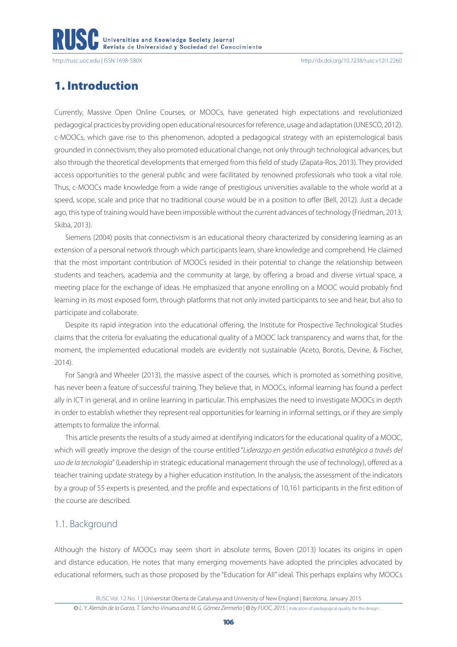# 1. Introduction

Currently, Massive Open Online Courses, or MOOCs, have generated high expectations and revolutionized pedagogical practices by providing open educational resources for reference, usage and adaptation (UNESCO, 2012). c-MOOCs, which gave rise to this phenomenon, adopted a pedagogical strategy with an epistemological basis grounded in connectivism; they also promoted educational change, not only through technological advances, but also through the theoretical developments that emerged from this field of study (Zapata-Ros, 2013). They provided access opportunities to the general public and were facilitated by renowned professionals who took a vital role. Thus, c-MOOCs made knowledge from a wide range of prestigious universities available to the whole world at a speed, scope, scale and price that no traditional course would be in a position to offer (Bell, 2012). Just a decade ago, this type of training would have been impossible without the current advances of technology (Friedman, 2013; Skiba, 2013).

Siemens (2004) posits that connectivism is an educational theory characterized by considering learning as an extension of a personal network through which participants learn, share knowledge and comprehend. He claimed that the most important contribution of MOOCs resided in their potential to change the relationship between students and teachers, academia and the community at large, by offering a broad and diverse virtual space, a meeting place for the exchange of ideas. He emphasized that anyone enrolling on a MOOC would probably find learning in its most exposed form, through platforms that not only invited participants to see and hear, but also to participate and collaborate.

Despite its rapid integration into the educational offering, the Institute for Prospective Technological Studies claims that the criteria for evaluating the educational quality of a MOOC lack transparency and warns that, for the moment, the implemented educational models are evidently not sustainable (Aceto, Borotis, Devine, & Fischer, 2014).

For Sangrà and Wheeler (2013), the massive aspect of the courses, which is promoted as something positive, has never been a feature of successful training. They believe that, in MOOCs, informal learning has found a perfect ally in ICT in general, and in online learning in particular. This emphasizes the need to investigate MOOCs in depth in order to establish whether they represent real opportunities for learning in informal settings, or if they are simply attempts to formalize the informal.

This article presents the results of a study aimed at identifying indicators for the educational quality of a MOOC, which will greatly improve the design of the course entitled "*Liderazgo en gestión educativa estratégica a través del uso de la tecnología*" (Leadership in strategic educational management through the use of technology), offered as a teacher training update strategy by a higher education institution. In the analysis, the assessment of the indicators by a group of 55 experts is presented, and the profile and expectations of 10,161 participants in the first edition of the course are described.

## 1.1. Background

Although the history of MOOCs may seem short in absolute terms, Boven (2013) locates its origins in open and distance education. He notes that many emerging movements have adopted the principles advocated by educational reformers, such as those proposed by the "Education for All" ideal*.* This perhaps explains why MOOCs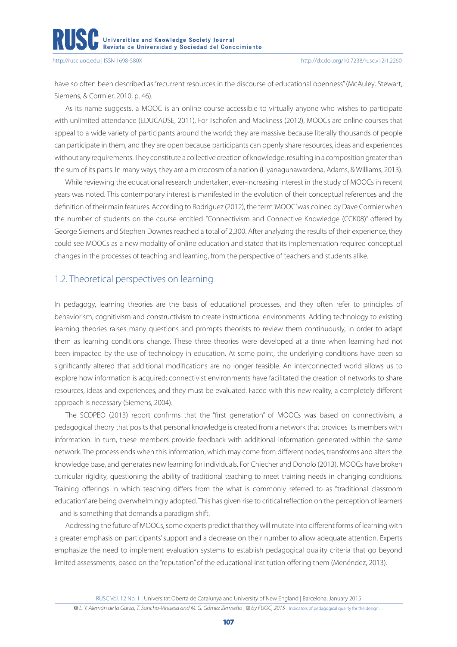have so often been described as "recurrent resources in the discourse of educational openness" (McAuley, Stewart, Siemens, & Cormier, 2010, p. 46).

As its name suggests, a MOOC is an online course accessible to virtually anyone who wishes to participate with unlimited attendance (EDUCAUSE, 2011). For Tschofen and Mackness (2012), MOOCs are online courses that appeal to a wide variety of participants around the world; they are massive because literally thousands of people can participate in them, and they are open because participants can openly share resources, ideas and experiences without any requirements. They constitute a collective creation of knowledge, resulting in a composition greater than the sum of its parts. In many ways, they are a microcosm of a nation (Liyanagunawardena, Adams, & Williams, 2013).

While reviewing the educational research undertaken, ever-increasing interest in the study of MOOCs in recent years was noted. This contemporary interest is manifested in the evolution of their conceptual references and the definition of their main features. According to Rodriguez (2012), the term 'MOOC' was coined by Dave Cormier when the number of students on the course entitled "Connectivism and Connective Knowledge (CCK08)" offered by George Siemens and Stephen Downes reached a total of 2,300. After analyzing the results of their experience, they could see MOOCs as a new modality of online education and stated that its implementation required conceptual changes in the processes of teaching and learning, from the perspective of teachers and students alike.

# 1.2. Theoretical perspectives on learning

In pedagogy, learning theories are the basis of educational processes, and they often refer to principles of behaviorism, cognitivism and constructivism to create instructional environments. Adding technology to existing learning theories raises many questions and prompts theorists to review them continuously, in order to adapt them as learning conditions change. These three theories were developed at a time when learning had not been impacted by the use of technology in education. At some point, the underlying conditions have been so significantly altered that additional modifications are no longer feasible. An interconnected world allows us to explore how information is acquired; connectivist environments have facilitated the creation of networks to share resources, ideas and experiences, and they must be evaluated. Faced with this new reality, a completely different approach is necessary (Siemens, 2004).

The SCOPEO (2013) report confirms that the "first generation" of MOOCs was based on connectivism, a pedagogical theory that posits that personal knowledge is created from a network that provides its members with information. In turn, these members provide feedback with additional information generated within the same network. The process ends when this information, which may come from different nodes, transforms and alters the knowledge base, and generates new learning for individuals. For Chiecher and Donolo (2013), MOOCs have broken curricular rigidity, questioning the ability of traditional teaching to meet training needs in changing conditions. Training offerings in which teaching differs from the what is commonly referred to as "traditional classroom education" are being overwhelmingly adopted. This has given rise to critical reflection on the perception of learners – and is something that demands a paradigm shift.

Addressing the future of MOOCs, some experts predict that they will mutate into different forms of learning with a greater emphasis on participants' support and a decrease on their number to allow adequate attention. Experts emphasize the need to implement evaluation systems to establish pedagogical quality criteria that go beyond limited assessments, based on the "reputation" of the educational institution offering them (Menéndez, 2013).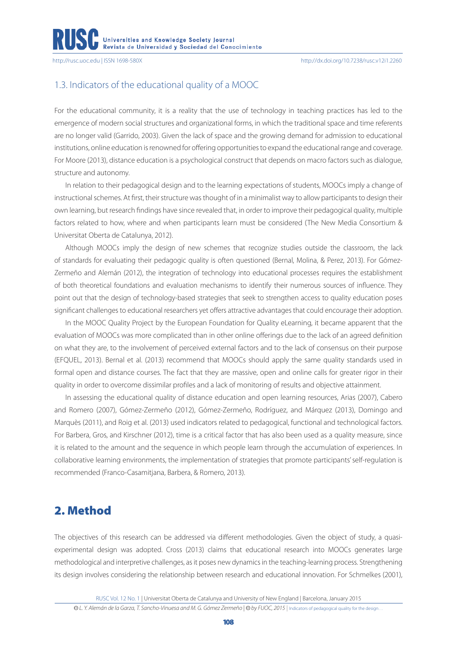# 1.3. Indicators of the educational quality of a MOOC

For the educational community, it is a reality that the use of technology in teaching practices has led to the emergence of modern social structures and organizational forms, in which the traditional space and time referents are no longer valid (Garrido, 2003). Given the lack of space and the growing demand for admission to educational institutions, online education is renowned for offering opportunities to expand the educational range and coverage. For Moore (2013), distance education is a psychological construct that depends on macro factors such as dialogue, structure and autonomy.

In relation to their pedagogical design and to the learning expectations of students, MOOCs imply a change of instructional schemes. At first, their structure was thought of in a minimalist way to allow participants to design their own learning, but research findings have since revealed that, in order to improve their pedagogical quality, multiple factors related to how, where and when participants learn must be considered (The New Media Consortium & Universitat Oberta de Catalunya, 2012).

Although MOOCs imply the design of new schemes that recognize studies outside the classroom, the lack of standards for evaluating their pedagogic quality is often questioned (Bernal, Molina, & Perez, 2013). For Gómez-Zermeño and Alemán (2012), the integration of technology into educational processes requires the establishment of both theoretical foundations and evaluation mechanisms to identify their numerous sources of influence. They point out that the design of technology-based strategies that seek to strengthen access to quality education poses significant challenges to educational researchers yet offers attractive advantages that could encourage their adoption.

In the MOOC Quality Project by the European Foundation for Quality eLearning, it became apparent that the evaluation of MOOCs was more complicated than in other online offerings due to the lack of an agreed definition on what they are, to the involvement of perceived external factors and to the lack of consensus on their purpose (EFQUEL, 2013). Bernal et al. (2013) recommend that MOOCs should apply the same quality standards used in formal open and distance courses. The fact that they are massive, open and online calls for greater rigor in their quality in order to overcome dissimilar profiles and a lack of monitoring of results and objective attainment.

In assessing the educational quality of distance education and open learning resources, Arias (2007), Cabero and Romero (2007), Gómez-Zermeño (2012), Gómez-Zermeño, Rodríguez, and Márquez (2013), Domingo and Marquès (2011), and Roig et al. (2013) used indicators related to pedagogical, functional and technological factors. For Barbera, Gros, and Kirschner (2012), time is a critical factor that has also been used as a quality measure, since it is related to the amount and the sequence in which people learn through the accumulation of experiences. In collaborative learning environments, the implementation of strategies that promote participants' self-regulation is recommended (Franco-Casamitjana, Barbera, & Romero, 2013).

# 2. Method

The objectives of this research can be addressed via different methodologies. Given the object of study, a quasiexperimental design was adopted. Cross (2013) claims that educational research into MOOCs generates large methodological and interpretive challenges, as it poses new dynamics in the teaching-learning process. Strengthening its design involves considering the relationship between research and educational innovation. For Schmelkes (2001),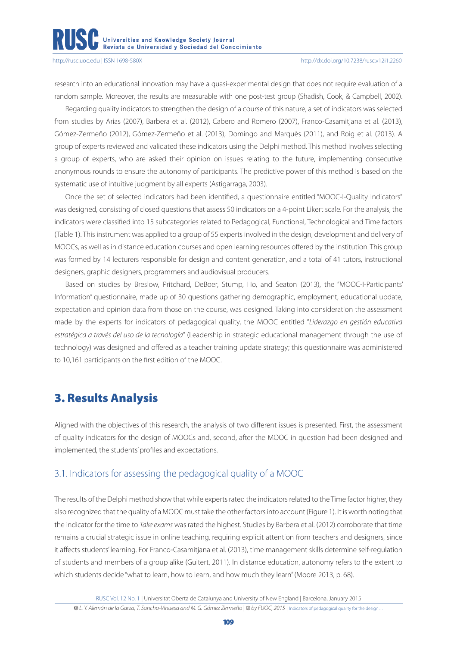research into an educational innovation may have a quasi-experimental design that does not require evaluation of a random sample. Moreover, the results are measurable with one post-test group (Shadish, Cook, & Campbell, 2002).

Regarding quality indicators to strengthen the design of a course of this nature, a set of indicators was selected from studies by Arias (2007), Barbera et al. (2012), Cabero and Romero (2007), Franco-Casamitjana et al. (2013), Gómez-Zermeño (2012), Gómez-Zermeño et al. (2013), Domingo and Marquès (2011), and Roig et al. (2013). A group of experts reviewed and validated these indicators using the Delphi method. This method involves selecting a group of experts, who are asked their opinion on issues relating to the future, implementing consecutive anonymous rounds to ensure the autonomy of participants. The predictive power of this method is based on the systematic use of intuitive judgment by all experts (Astigarraga, 2003).

Once the set of selected indicators had been identified, a questionnaire entitled "MOOC-I-Quality Indicators" was designed*,* consisting of closed questions that assess 50 indicators on a 4-point Likert scale. For the analysis, the indicators were classified into 15 subcategories related to Pedagogical, Functional, Technological and Time factors (Table 1). This instrument was applied to a group of 55 experts involved in the design, development and delivery of MOOCs, as well as in distance education courses and open learning resources offered by the institution. This group was formed by 14 lecturers responsible for design and content generation, and a total of 41 tutors, instructional designers, graphic designers, programmers and audiovisual producers.

Based on studies by Breslow, Pritchard, DeBoer, Stump, Ho, and Seaton (2013), the "MOOC-I-Participants' Information" questionnaire, made up of 30 questions gathering demographic, employment, educational update, expectation and opinion data from those on the course, was designed. Taking into consideration the assessment made by the experts for indicators of pedagogical quality, the MOOC entitled "*Liderazgo en gestión educativa estratégica a través del uso de la tecnología*" (Leadership in strategic educational management through the use of technology) was designed and offered as a teacher training update strategy; this questionnaire was administered to 10,161 participants on the first edition of the MOOC.

# 3. Results Analysis

Aligned with the objectives of this research, the analysis of two different issues is presented. First, the assessment of quality indicators for the design of MOOCs and, second, after the MOOC in question had been designed and implemented, the students' profiles and expectations.

# 3.1. Indicators for assessing the pedagogical quality of a MOOC

The results of the Delphi method show that while experts rated the indicators related to the Time factor higher, they also recognized that the quality of a MOOC must take the other factors into account (Figure 1). It is worth noting that the indicator for the time to *Take exams* was rated the highest. Studies by Barbera et al. (2012) corroborate that time remains a crucial strategic issue in online teaching, requiring explicit attention from teachers and designers, since it affects students' learning. For Franco-Casamitjana et al. (2013), time management skills determine self-regulation of students and members of a group alike (Guitert, 2011). In distance education, autonomy refers to the extent to which students decide "what to learn, how to learn, and how much they learn" (Moore 2013, p. 68).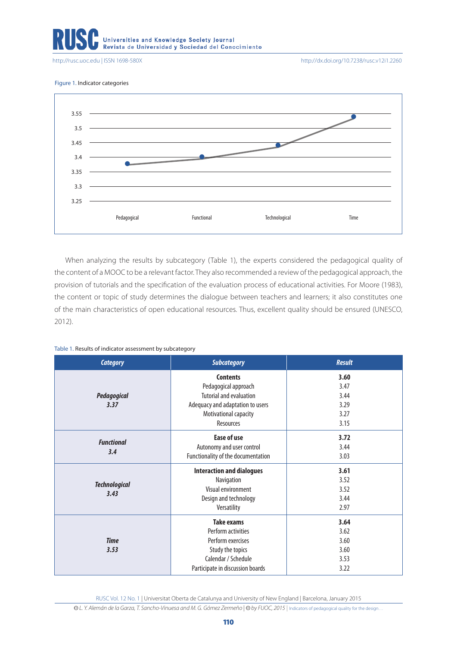Universities and Knowledge Society Journal<br>Revista de Universidad y Sociedad del Conocimiento

<http://rusc.uoc.edu> | ISSN 1698-580X <http://dx.doi.org/10.7238/rusc.v12i1.2260>

Figure 1. Indicator categories



When analyzing the results by subcategory (Table 1), the experts considered the pedagogical quality of the content of a MOOC to be a relevant factor. They also recommended a review of the pedagogical approach, the provision of tutorials and the specification of the evaluation process of educational activities. For Moore (1983), the content or topic of study determines the dialogue between teachers and learners; it also constitutes one of the main characteristics of open educational resources. Thus, excellent quality should be ensured (UNESCO, 2012).

| Table 1. Results of indicator assessment by subcategory |  |
|---------------------------------------------------------|--|
|---------------------------------------------------------|--|

| <b>Category</b>          | <b>Subcategory</b>                 | <b>Result</b> |
|--------------------------|------------------------------------|---------------|
|                          | <b>Contents</b>                    | 3.60          |
|                          | Pedagogical approach               | 3.47          |
| <b>Pedagogical</b>       | Tutorial and evaluation            | 3.44          |
| 3.37                     | Adequacy and adaptation to users   | 3.29          |
|                          | Motivational capacity              | 3.27          |
|                          | <b>Resources</b>                   | 3.15          |
|                          | <b>Ease of use</b>                 | 3.72          |
| <b>Functional</b><br>3.4 | Autonomy and user control          | 3.44          |
|                          | Functionality of the documentation | 3.03          |
|                          | <b>Interaction and dialogues</b>   | 3.61          |
| <b>Technological</b>     | Navigation                         | 3.52          |
| 3.43                     | Visual environment                 | 3.52          |
|                          | Design and technology              | 3.44          |
|                          | Versatility                        | 2.97          |
|                          | <b>Take exams</b>                  | 3.64          |
|                          | Perform activities                 | 3.62          |
| <b>Time</b>              | Perform exercises                  | 3.60          |
| 3.53                     | Study the topics                   | 3.60          |
|                          | Calendar / Schedule                | 3.53          |
|                          | Participate in discussion boards   | 3.22          |

RUSC Vol. 12 No. 1 | Universitat Oberta de Catalunya and University of New England | Barcelona, January 2015

© L. Y. Alemán de la Garza, T. Sancho-Vinuesa and M. G. Gómez Zermeño | © by FUOC, 2015 | Indicators of pedagogical quality for the design...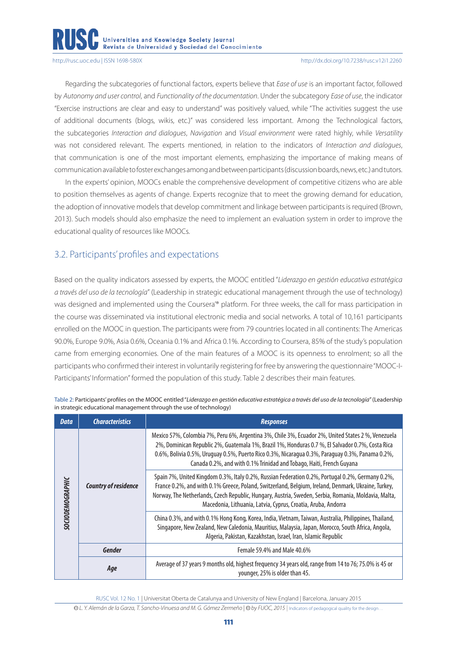Regarding the subcategories of functional factors, experts believe that *Ease of use* is an important factor, followed by *Autonomy and user control*, and *Functionality of the documentation*. Under the subcategory *Ease of use*, the indicator "Exercise instructions are clear and easy to understand" was positively valued, while "The activities suggest the use of additional documents (blogs, wikis, etc.)" was considered less important. Among the Technological factors, the subcategories *Interaction and dialogues*, *Navigation* and *Visual environment* were rated highly, while *Versatility* was not considered relevant. The experts mentioned, in relation to the indicators of *Interaction and dialogues*, that communication is one of the most important elements, emphasizing the importance of making means of communication available to foster exchanges among and between participants (discussion boards, news, etc.) and tutors.

In the experts' opinion, MOOCs enable the comprehensive development of competitive citizens who are able to position themselves as agents of change. Experts recognize that to meet the growing demand for education, the adoption of innovative models that develop commitment and linkage between participants is required (Brown, 2013). Such models should also emphasize the need to implement an evaluation system in order to improve the educational quality of resources like MOOCs.

# 3.2. Participants' profiles and expectations

Based on the quality indicators assessed by experts, the MOOC entitled "*Liderazgo en gestión educativa estratégica a través del uso de la tecnología*" (Leadership in strategic educational management through the use of technology) was designed and implemented using the Coursera'® platform. For three weeks, the call for mass participation in the course was disseminated via institutional electronic media and social networks. A total of 10,161 participants enrolled on the MOOC in question. The participants were from 79 countries located in all continents: The Americas 90.0%, Europe 9.0%, Asia 0.6%, Oceania 0.1% and Africa 0.1%. According to Coursera, 85% of the study's population came from emerging economies. One of the main features of a MOOC is its openness to enrolment; so all the participants who confirmed their interest in voluntarily registering for free by answering the questionnaire "MOOC-I-Participants' Information" formed the population of this study. Table 2 describes their main features.

| <b>Data</b>             | <b>Characteristics</b>      | <b>Responses</b>                                                                                                                                                                                                                                                                                                                                                                 |  |  |
|-------------------------|-----------------------------|----------------------------------------------------------------------------------------------------------------------------------------------------------------------------------------------------------------------------------------------------------------------------------------------------------------------------------------------------------------------------------|--|--|
| <b>SOCIODEMOGRAPHIC</b> | <b>Country of residence</b> | Mexico 57%, Colombia 7%, Peru 6%, Argentina 3%, Chile 3%, Ecuador 2%, United States 2 %, Venezuela<br>2%, Dominican Republic 2%, Guatemala 1%, Brazil 1%, Honduras 0.7%, El Salvador 0.7%, Costa Rica<br>0.6%, Bolivia 0.5%, Uruguay 0.5%, Puerto Rico 0.3%, Nicaragua 0.3%, Paraguay 0.3%, Panama 0.2%,<br>Canada 0.2%, and with 0.1% Trinidad and Tobago, Haiti, French Guyana |  |  |
|                         |                             | Spain 7%, United Kingdom 0.3%, Italy 0.2%, Russian Federation 0.2%, Portugal 0.2%, Germany 0.2%,<br>France 0.2%, and with 0.1% Greece, Poland, Switzerland, Belgium, Ireland, Denmark, Ukraine, Turkey,<br>Norway, The Netherlands, Czech Republic, Hungary, Austria, Sweden, Serbia, Romania, Moldavia, Malta,<br>Macedonia, Lithuania, Latvia, Cyprus, Croatia, Aruba, Andorra |  |  |
|                         |                             | China 0.3%, and with 0.1% Hong Kong, Korea, India, Vietnam, Taiwan, Australia, Philippines, Thailand,<br>Singapore, New Zealand, New Caledonia, Mauritius, Malaysia, Japan, Morocco, South Africa, Angola,<br>Algeria, Pakistan, Kazakhstan, Israel, Iran, Islamic Republic                                                                                                      |  |  |
|                         | <b>Gender</b>               | Female 59.4% and Male 40.6%                                                                                                                                                                                                                                                                                                                                                      |  |  |
|                         | Age                         | Average of 37 years 9 months old, highest frequency 34 years old, range from 14 to 76; 75.0% is 45 or<br>younger, 25% is older than 45.                                                                                                                                                                                                                                          |  |  |

Table 2: Participants' profiles on the MOOC entitled "*Liderazgo en gestión educativa estratégica a través del uso de la tecnología*" (Leadership in strategic educational management through the use of technology)

RUSC Vol. 12 No. 1 | Universitat Oberta de Catalunya and University of New England | Barcelona, January 2015

**CC** *L. Y. Alemán de la Garza, T. Sancho-Vinuesa and M. G. Gómez Zermeño* | **CC** *by FUOC, 2015* | Indicators of pedagogical quality for the design…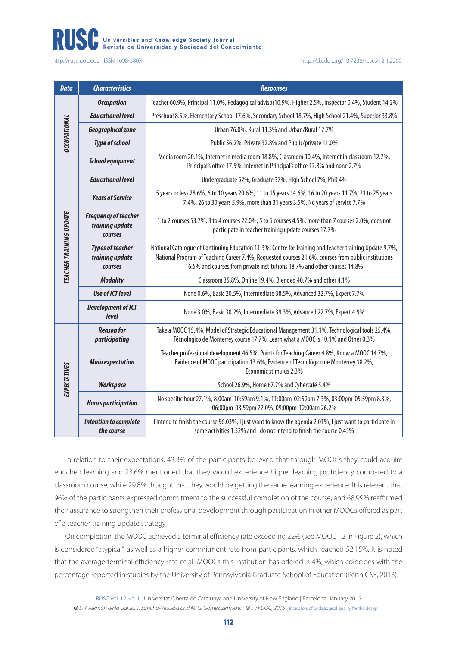# Universities and Knowledge Society Journal<br>Revista de Universidad y Sociedad del Conocimiento

<http://rusc.uoc.edu> | ISSN 1698-580X <http://dx.doi.org/10.7238/rusc.v12i1.2260>

| <b>Data</b>             | <b>Characteristics</b>                                           | <b>Responses</b>                                                                                                                                                                                                                                                                            |  |  |
|-------------------------|------------------------------------------------------------------|---------------------------------------------------------------------------------------------------------------------------------------------------------------------------------------------------------------------------------------------------------------------------------------------|--|--|
| <b>DCCUPATIONAL</b>     | <b>Occupation</b>                                                | Teacher 60.9%, Principal 11.0%, Pedagogical advisor10.9%, Higher 2.5%, Inspector 0.4%, Student 14.2%                                                                                                                                                                                        |  |  |
|                         | <b>Educational level</b>                                         | Preschool 8.5%, Elementary School 17.6%, Secondary School 18.7%, High School 21.4%, Superior 33.8%                                                                                                                                                                                          |  |  |
|                         | Geographical zone                                                | Urban 76.0%, Rural 11.3% and Urban/Rural 12.7%                                                                                                                                                                                                                                              |  |  |
|                         | <b>Type of school</b>                                            | Public 56.2%, Private 32.8% and Public/private 11.0%                                                                                                                                                                                                                                        |  |  |
|                         | <b>School equipment</b>                                          | Media room 20.1%, Internet in media room 18.8%, Classroom 10.4%, Internet in classroom 12.7%,<br>Principal's office 17.5%, Internet in Principal's office 17.8% and none 2.7%                                                                                                               |  |  |
| TEACHER TRAINING UPDATE | <b>Educational level</b>                                         | Undergraduate 52%, Graduate 37%, High School 7%, PhD 4%                                                                                                                                                                                                                                     |  |  |
|                         | <b>Years of Service</b>                                          | 5 years or less 28.6%, 6 to 10 years 20.6%, 11 to 15 years 14.6%, 16 to 20 years 11.7%, 21 to 25 years<br>7.4%, 26 to 30 years 5.9%, more than 31 years 3.5%, No years of service 7.7%                                                                                                      |  |  |
|                         | <b>Frequency of teacher</b><br>training update<br><b>courses</b> | 1 to 2 courses 53.7%, 3 to 4 courses 22.0%, 5 to 6 courses 4.5%, more than 7 courses 2.0%, does not<br>participate in teacher training update courses 17.7%                                                                                                                                 |  |  |
|                         | <b>Types of teacher</b><br>training update<br>courses            | National Catalogue of Continuing Education 11.3%, Centre for Training and Teacher training Update 9.7%,<br>National Program of Teaching Career 7.4%, Requested courses 21.6%, courses from public institutions<br>16.5% and courses from private institutions 18.7% and other courses 14.8% |  |  |
|                         | <b>Modality</b>                                                  | Classroom 35.8%, Online 19.4%, Blended 40.7% and other 4.1%                                                                                                                                                                                                                                 |  |  |
|                         | <b>Use of ICT level</b>                                          | None 0.6%, Basic 20.5%, Intermediate 38.5%, Advanced 32.7%, Expert 7.7%                                                                                                                                                                                                                     |  |  |
|                         | <b>Development of ICT</b><br><b>level</b>                        | None 3.0%, Basic 30.2%, Intermediate 39.3%, Advanced 22.7%, Expert 4.9%                                                                                                                                                                                                                     |  |  |
| <b>EXPECTATIVES</b>     | <b>Reason for</b><br>participating                               | Take a MOOC 15.4%, Model of Strategic Educational Management 31.1%, Technological tools 25.4%,<br>Técnologico de Monterrey course 17.7%, Learn what a MOOC is 10.1% and Other 0.3%                                                                                                          |  |  |
|                         | <b>Main expectation</b>                                          | Teacher professional development 46.5%, Points for Teaching Career 4.8%, Know a MOOC 14.7%,<br>Evidence of MOOC participation 13.6%, Evidence of Tecnológico de Monterrey 18.2%,<br>Economic stimulus 2.3%                                                                                  |  |  |
|                         | <b>Workspace</b>                                                 | School 26.9%, Home 67.7% and Cybercafé 5.4%                                                                                                                                                                                                                                                 |  |  |
|                         | <b>Hours participation</b>                                       | No specific hour 27.1%, 8:00am-10:59am 9.1%, 11:00am-02:59pm 7.3%, 03:00pm-05:59pm 8.3%,<br>06:00pm-08:59pm 22.0%, 09:00pm-12:00am 26.2%                                                                                                                                                    |  |  |
|                         | <b>Intention to complete</b><br>the course                       | I intend to finish the course 96.03%, I just want to know the agenda 2.01%, I just want to participate in<br>some activities 1.52% and I do not intend to finish the course 0.45%                                                                                                           |  |  |

In relation to their expectations, 43.3% of the participants believed that through MOOCs they could acquire enriched learning and 23.6% mentioned that they would experience higher learning proficiency compared to a classroom course, while 29.8% thought that they would be getting the same learning experience. It is relevant that 96% of the participants expressed commitment to the successful completion of the course, and 68.99% reaffirmed their assurance to strengthen their professional development through participation in other MOOCs offered as part of a teacher training update strategy.

On completion, the MOOC achieved a terminal efficiency rate exceeding 22% (see MOOC 12 in Figure 2), which is considered "atypical", as well as a higher commitment rate from participants, which reached 52.15%. It is noted that the average terminal efficiency rate of all MOOCs this institution has offered is 4%, which coincides with the percentage reported in studies by the University of Pennsylvania Graduate School of Education (Penn GSE, 2013).

RUSC Vol. 12 No. 1 | Universitat Oberta de Catalunya and University of New England | Barcelona, January 2015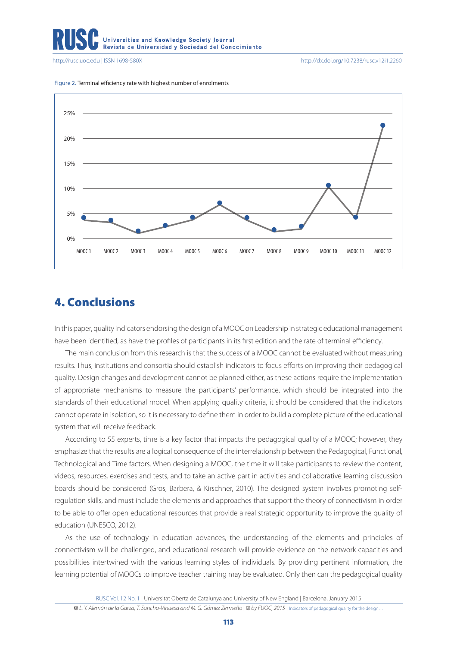

<http://rusc.uoc.edu> | ISSN 1698-580X <http://dx.doi.org/10.7238/rusc.v12i1.2260>



Figure 2. Terminal efficiency rate with highest number of enrolments

# 4. Conclusions

In this paper, quality indicators endorsing the design of a MOOC on Leadership in strategic educational management have been identified, as have the profiles of participants in its first edition and the rate of terminal efficiency.

The main conclusion from this research is that the success of a MOOC cannot be evaluated without measuring results. Thus, institutions and consortia should establish indicators to focus efforts on improving their pedagogical quality. Design changes and development cannot be planned either, as these actions require the implementation of appropriate mechanisms to measure the participants' performance, which should be integrated into the standards of their educational model. When applying quality criteria, it should be considered that the indicators cannot operate in isolation, so it is necessary to define them in order to build a complete picture of the educational system that will receive feedback.

According to 55 experts, time is a key factor that impacts the pedagogical quality of a MOOC; however, they emphasize that the results are a logical consequence of the interrelationship between the Pedagogical, Functional, Technological and Time factors. When designing a MOOC, the time it will take participants to review the content, videos, resources, exercises and tests, and to take an active part in activities and collaborative learning discussion boards should be considered (Gros, Barbera, & Kirschner, 2010). The designed system involves promoting selfregulation skills, and must include the elements and approaches that support the theory of connectivism in order to be able to offer open educational resources that provide a real strategic opportunity to improve the quality of education (UNESCO, 2012).

As the use of technology in education advances, the understanding of the elements and principles of connectivism will be challenged, and educational research will provide evidence on the network capacities and possibilities intertwined with the various learning styles of individuals. By providing pertinent information, the learning potential of MOOCs to improve teacher training may be evaluated. Only then can the pedagogical quality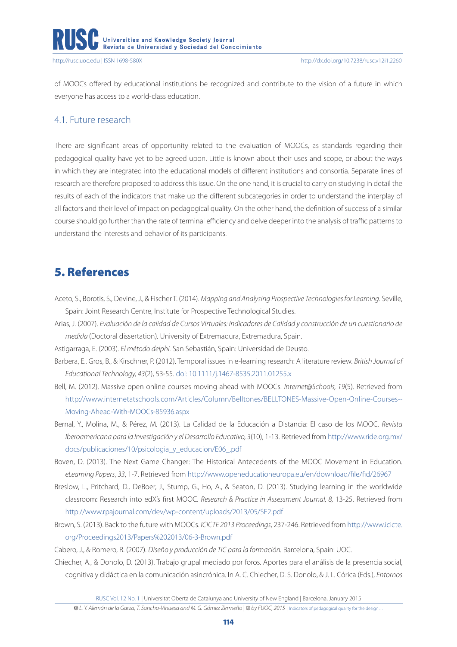

of MOOCs offered by educational institutions be recognized and contribute to the vision of a future in which everyone has access to a world-class education.

## 4.1. Future research

There are significant areas of opportunity related to the evaluation of MOOCs, as standards regarding their pedagogical quality have yet to be agreed upon. Little is known about their uses and scope, or about the ways in which they are integrated into the educational models of different institutions and consortia. Separate lines of research are therefore proposed to address this issue. On the one hand, it is crucial to carry on studying in detail the results of each of the indicators that make up the different subcategories in order to understand the interplay of all factors and their level of impact on pedagogical quality. On the other hand, the definition of success of a similar course should go further than the rate of terminal efficiency and delve deeper into the analysis of traffic patterns to understand the interests and behavior of its participants.

# 5. References

- Aceto, S., Borotis, S., Devine, J., & Fischer T. (2014). *Mapping and Analysing Prospective Technologies for Learning.* Seville, Spain: Joint Research Centre, Institute for Prospective Technological Studies.
- Arias, J. (2007). *Evaluación de la calidad de Cursos Virtuales: Indicadores de Calidad y construcción de un cuestionario de medida* (Doctoral dissertation)*.* University of Extremadura, Extremadura, Spain.
- Astigarraga, E. (2003). *El método delphi.* San Sebastián, Spain: Universidad de Deusto.
- Barbera, E., Gros, B., & Kirschner, P. (2012). Temporal issues in e-learning research: A literature review. *British Journal of Educational Technology, 43*(2), 53-55. [doi: 10.1111/j.1467-8535.2011.01255.x](http://doi: 10.1111/j.1467-8535.2011.01255.x)
- Bell, M. (2012). Massive open online courses moving ahead with MOOCs. *Internet@Schools, 19*(5). Retrieved from [http://www.internetatschools.com/Articles/Column/Belltones/BELLTONES-Massive-Open-Online-Courses--](http://www.internetatschools.com/Articles/Column/Belltones/BELLTONES-Massive-Open-Online-Courses--Moving-Ahead-With-MOOCs-85936.aspx) [Moving-Ahead-With-MOOCs-85936.aspx](http://www.internetatschools.com/Articles/Column/Belltones/BELLTONES-Massive-Open-Online-Courses--Moving-Ahead-With-MOOCs-85936.aspx)
- Bernal, Y., Molina, M., & Pérez, M. (2013). La Calidad de la Educación a Distancia: El caso de los MOOC. *Revista Iberoamericana para la Investigación y el Desarrollo Educativo, 3*(10), 1-13. Retrieved from [http://www.ride.org.mx/](http://www.ride.org.mx/docs/publicaciones/10/psicologia_y_educacion/E06_.pdf) [docs/publicaciones/10/psicologia\\_y\\_educacion/E06\\_.pdf](http://www.ride.org.mx/docs/publicaciones/10/psicologia_y_educacion/E06_.pdf)
- Boven, D. (2013). The Next Game Changer: The Historical Antecedents of the MOOC Movement in Education. *eLearning Papers*, *33*, 1-7. Retrieved from<http://www.openeducationeuropa.eu/en/download/file/fid/26967>
- Breslow, L., Pritchard, D., DeBoer, J., Stump, G., Ho, A., & Seaton, D. (2013). Studying learning in the worldwide classroom: Research into edX's first MOOC. *Research & Practice in Assessment Journal, 8,* 13-25. Retrieved from <http://www.rpajournal.com/dev/wp-content/uploads/2013/05/SF2.pdf>
- Brown, S. (2013). Back to the future with MOOCs. *ICICTE 2013 Proceedings*, 237-246. Retrieved from [http://www.icicte.](http://www.icicte.org/Proceedings2013/Papers 2013/06-3-Brown.pdf) [org/Proceedings2013/Papers%202013/06-3-Brown.pdf](http://www.icicte.org/Proceedings2013/Papers 2013/06-3-Brown.pdf)

Cabero, J., & Romero, R. (2007). *Diseño y producción de TIC para la formación.* Barcelona, Spain: UOC.

Chiecher, A., & Donolo, D. (2013). Trabajo grupal mediado por foros. Aportes para el análisis de la presencia social, cognitiva y didáctica en la comunicación asincrónica. In A. C. Chiecher, D. S. Donolo, & J. L. Córica (Eds.), *Entornos*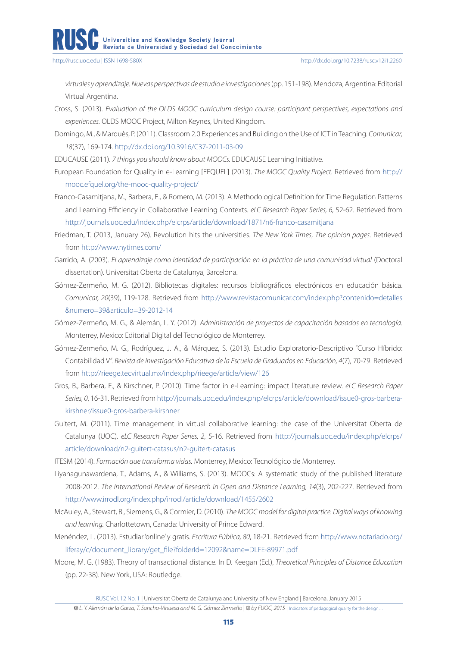*virtuales y aprendizaje. Nuevas perspectivas de estudio e investigaciones* (pp. 151-198). Mendoza, Argentina: Editorial Virtual Argentina.

- Cross, S. (2013). *Evaluation of the OLDS MOOC curriculum design course: participant perspectives, expectations and experiences.* OLDS MOOC Project, Milton Keynes, United Kingdom.
- Domingo, M., & Marquès, P. (2011). Classroom 2.0 Experiences and Building on the Use of ICT in Teaching. *Comunicar, 18*(37), 169-174.<http://dx.doi.org/10.3916/C37-2011-03-09>

EDUCAUSE (2011). *7 things you should know about MOOCs.* EDUCAUSE Learning Initiative.

- European Foundation for Quality in e-Learning [EFQUEL] (2013). *The MOOC Quality Project*. Retrieved from [http://](http://mooc.efquel.org/the-mooc-quality-project/) [mooc.efquel.org/the-mooc-quality-project/](http://mooc.efquel.org/the-mooc-quality-project/)
- Franco-Casamitjana, M., Barbera, E., & Romero, M. (2013). A Methodological Definition for Time Regulation Patterns and Learning Efficiency in Collaborative Learning Contexts. *eLC Research Paper Series, 6,* 52-62. Retrieved from <http://journals.uoc.edu/index.php/elcrps/article/download/1871/n6-franco-casamitjana>
- Friedman, T. (2013, January 26). Revolution hits the universities. *The New York Times*, *The opinion pages*. Retrieved from<http://www.nytimes.com/>
- Garrido, A. (2003). *El aprendizaje como identidad de participación en la práctica de una comunidad virtual* (Doctoral dissertation). Universitat Oberta de Catalunya, Barcelona.
- Gómez-Zermeño, M. G. (2012). Bibliotecas digitales: recursos bibliográficos electrónicos en educación básica. *Comunicar, 20*(39), 119-128. Retrieved from [http://www.revistacomunicar.com/index.php?contenido=detalles](http://www.revistacomunicar.com/index.php?contenido=detalles&numero=39&articulo=39-2012-14) [&numero=39&articulo=39-2012-14](http://www.revistacomunicar.com/index.php?contenido=detalles&numero=39&articulo=39-2012-14)
- Gómez-Zermeño, M. G., & Alemán, L. Y. (2012). *Administración de proyectos de capacitación basados en tecnología.* Monterrey, Mexico: Editorial Digital del Tecnológico de Monterrey.
- Gómez-Zermeño, M. G., Rodríguez, J. A., & Márquez, S. (2013). Estudio Exploratorio-Descriptivo "Curso Híbrido: Contabilidad V". *Revista de Investigación Educativa de la Escuela de Graduados en Educación, 4*(7), 70-79. Retrieved from<http://rieege.tecvirtual.mx/index.php/rieege/article/view/126>
- Gros, B., Barbera, E., & Kirschner, P. (2010). Time factor in e-Learning: impact literature review. *eLC Research Paper Series, 0*, 16-31. Retrieved from [http://journals.uoc.edu/index.php/elcrps/article/download/issue0-gros-barbera](http://journals.uoc.edu/index.php/elcrps/article/download/issue0-gros-barbera-kirshner/issue0-gros-barbera-kirshner)[kirshner/issue0-gros-barbera-kirshner](http://journals.uoc.edu/index.php/elcrps/article/download/issue0-gros-barbera-kirshner/issue0-gros-barbera-kirshner)
- Guitert, M. (2011). Time management in virtual collaborative learning: the case of the Universitat Oberta de Catalunya (UOC). *eLC Research Paper Series, 2*, 5-16. Retrieved from [http://journals.uoc.edu/index.php/elcrps/](http://journals.uoc.edu/index.php/elcrps/article/download/n2-guitert-catasus/n2-guitert-catasus) [article/download/n2-guitert-catasus/n2-guitert-catasus](http://journals.uoc.edu/index.php/elcrps/article/download/n2-guitert-catasus/n2-guitert-catasus)
- ITESM (2014). *Formación que transforma vidas.* Monterrey, Mexico: Tecnológico de Monterrey.
- Liyanagunawardena, T., Adams, A., & Williams, S. (2013). MOOCs: A systematic study of the published literature 2008-2012. *The International Review of Research in Open and Distance Learning, 14*(3), 202-227. Retrieved from <http://www.irrodl.org/index.php/irrodl/article/download/1455/2602>
- McAuley, A., Stewart, B., Siemens, G., & Cormier, D. (2010). *The MOOC model for digital practice. Digital ways of knowing and learning.* Charlottetown, Canada: University of Prince Edward.
- Menéndez, L. (2013). Estudiar 'online' y gratis*. Escritura Pública, 80*, 18-21. Retrieved from [http://www.notariado.org/](http://www.notariado.org/liferay/c/document_library/get_file?folderId=12092&name=DLFE-89971.pdf) [liferay/c/document\\_library/get\\_file?folderId=12092&name=DLFE-89971.pdf](http://www.notariado.org/liferay/c/document_library/get_file?folderId=12092&name=DLFE-89971.pdf)
- Moore, M. G. (1983). Theory of transactional distance. In D. Keegan (Ed.), *Theoretical Principles of Distance Education* (pp. 22-38). New York, USA: Routledge.

RUSC Vol. 12 No. 1 | Universitat Oberta de Catalunya and University of New England | Barcelona, January 2015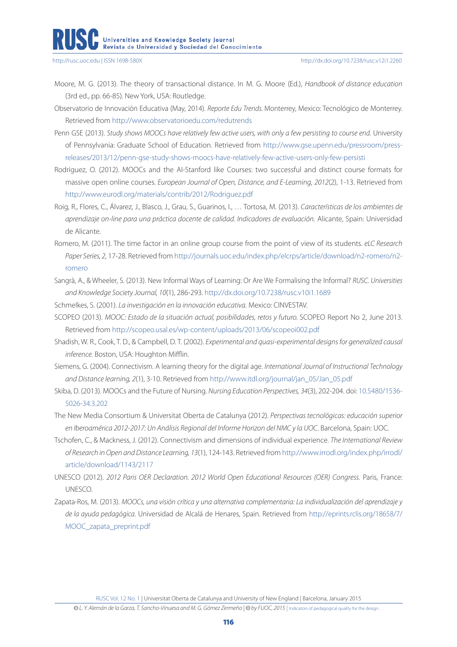- Moore, M. G. (2013). The theory of transactional distance. In M. G. Moore (Ed.), *Handbook of distance education* (3rd ed., pp. 66-85). New York, USA: Routledge.
- Observatorio de Innovación Educativa (May, 2014). *Reporte Edu Trends.* Monterrey, Mexico: Tecnológico de Monterrey. Retrieved from<http://www.observatorioedu.com/redutrends>
- Penn GSE (2013). *Study shows MOOCs have relatively few active users, with only a few persisting to course end.* University of Pennsylvania: Graduate School of Education. Retrieved from [http://www.gse.upenn.edu/pressroom/press](http://www.gse.upenn.edu/pressroom/press-releases/2013/12/penn-gse-study-shows-moocs-have-relatively-few-active-users-only-few-persisti)[releases/2013/12/penn-gse-study-shows-moocs-have-relatively-few-active-users-only-few-persisti](http://www.gse.upenn.edu/pressroom/press-releases/2013/12/penn-gse-study-shows-moocs-have-relatively-few-active-users-only-few-persisti)
- Rodriguez, O. (2012). MOOCs and the AI-Stanford like Courses: two successful and distinct course formats for massive open online courses. *European Journal of Open, Distance, and E-Learning*, *2012*(2), 1-13. Retrieved from <http://www.eurodl.org/materials/contrib/2012/Rodriguez.pdf>
- Roig, R., Flores, C., Álvarez, J., Blasco, J., Grau, S., Guarinos, I., … Tortosa, M. (2013). *Características de los ambientes de aprendizaje on-line para una práctica docente de calidad. Indicadores de evaluación.* Alicante, Spain: Universidad de Alicante.
- Romero, M. (2011). The time factor in an online group course from the point of view of its students. *eLC Research Paper Series, 2,* 17-28. Retrieved from [http://journals.uoc.edu/index.php/elcrps/article/download/n2-romero/n2](http://journals.uoc.edu/index.php/elcrps/article/download/n2-romero/n2-romero) [romero](http://journals.uoc.edu/index.php/elcrps/article/download/n2-romero/n2-romero)
- Sangrà, A., & Wheeler, S. (2013). New Informal Ways of Learning: Or Are We Formalising the Informal? *RUSC. Universities and Knowledge Society Journal, 10*(1), 286-293. <http://dx.doi.org/10.7238/rusc.v10i1.1689>
- Schmelkes, S. (2001). *La investigación en la innovación educativa.* Mexico: CINVESTAV.
- SCOPEO (2013). *MOOC: Estado de la situación actual, posibilidades, retos y futuro.* SCOPEO Report No 2, June 2013. Retrieved from<http://scopeo.usal.es/wp-content/uploads/2013/06/scopeoi002.pdf>
- Shadish, W. R., Cook, T. D., & Campbell, D. T. (2002). *Experimental and quasi-experimental designs for generalized causal inference.* Boston, USA: Houghton Mifflin.
- Siemens, G. (2004). Connectivism. A learning theory for the digital age. *International Journal of Instructional Technology and Distance learning, 2*(1), 3-10. Retrieved from [http://www.itdl.org/journal/jan\\_05/Jan\\_05.pdf](http://www.itdl.org/journal/jan_05/Jan_05.pdf)
- Skiba, D. (2013). MOOCs and the Future of Nursing. *Nursing Education Perspectives, 34*(3), 202-204. doi: [10.5480/1536-](http://10.5480/1536-5026-34.3.202) [5026-34.3.202](http://10.5480/1536-5026-34.3.202)
- The New Media Consortium & Universitat Oberta de Catalunya (2012). *Perspectivas tecnológicas: educación superior en Iberoamérica 2012-2017: Un Análisis Regional del Informe Horizon del NMC y la UOC*. Barcelona, Spain: UOC.
- Tschofen, C., & Mackness, J. (2012). Connectivism and dimensions of individual experience. *The International Review of Research in Open and Distance Learning, 13*(1), 124-143. Retrieved from [http://www.irrodl.org/index.php/irrodl/](http://www.irrodl.org/index.php/irrodl/article/download/1143/2117) [article/download/1143/2117](http://www.irrodl.org/index.php/irrodl/article/download/1143/2117)
- UNESCO (2012). *2012 Paris OER Declaration. 2012 World Open Educational Resources (OER) Congress.* Paris, France: UNESCO.
- Zapata-Ros, M. (2013). *MOOCs, una visión crítica y una alternativa complementaria: La individualización del aprendizaje y de la ayuda pedagógica*. Universidad de Alcalá de Henares, Spain. Retrieved from [http://eprints.rclis.org/18658/7/](http://eprints.rclis.org/18658/7/MOOC_zapata_preprint.pdf) [MOOC\\_zapata\\_preprint.pdf](http://eprints.rclis.org/18658/7/MOOC_zapata_preprint.pdf)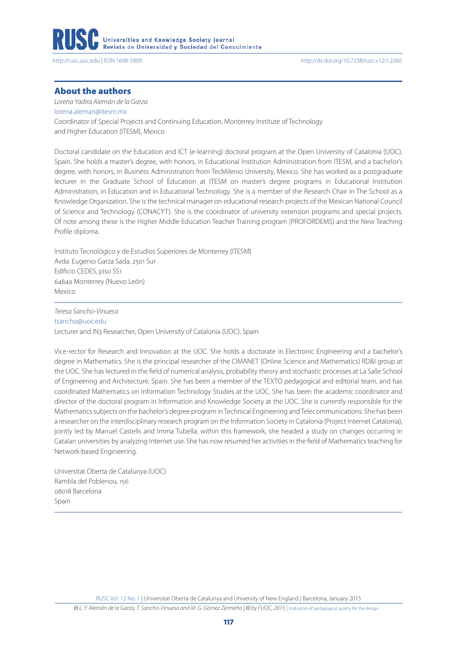

#### About the authors

*Lorena Yadira Alemán de la Garza* [lorena.aleman@itesm.mx](file:///E:\iris.eligio\Laboral\My Documents\Art�culo\lorena.aleman@itesm.mx) Coordinator of Special Projects and Continuing Education, Monterrey Institute of Technology and Higher Education (ITESM), Mexico

Doctoral candidate on the Education and ICT (e-learning) doctoral program at the Open University of Catalonia (UOC), Spain. She holds a master's degree, with honors, in Educational Institution Administration from ITESM, and a bachelor's degree, with honors, in Business Administration from TecMilenio University, Mexico. She has worked as a postgraduate lecturer in the Graduate School of Education at ITESM on master's degree programs in Educational Institution Administration, in Education and in Educational Technology. She is a member of the Research Chair in The School as a Knowledge Organization. She is the technical manager on educational research projects of the Mexican National Council of Science and Technology (CONACYT). She is the coordinator of university extension programs and special projects. Of note among these is the Higher Middle Education Teacher Training program (PROFORDEMS) and the New Teaching Profile diploma.

Instituto Tecnológico y de Estudios Superiores de Monterrey (ITESM) Avda. Eugenio Garza Sada, 2501 Sur Edificio CEDES, piso SS1 64849 Monterrey (Nuevo León) Mexico

*Teresa Sancho-Vinuesa* [tsancho@uoc.edu](mailto:tsancho@uoc.edu) Lecturer and IN3 Researcher, Open University of Catalonia (UOC), Spain

Vice-rector for Research and Innovation at the UOC. She holds a doctorate in Electronic Engineering and a bachelor's degree in Mathematics. She is the principal researcher of the CIMANET (Online Science and Mathematics) RD&I group at the UOC. She has lectured in the field of numerical analysis, probability theory and stochastic processes at La Salle School of Engineering and Architecture, Spain. She has been a member of the TEXTO pedagogical and editorial team, and has coordinated Mathematics on Information Technology Studies at the UOC. She has been the academic coordinator and director of the doctoral program in Information and Knowledge Society at the UOC. She is currently responsible for the Mathematics subjects on the bachelor's degree program in Technical Engineering and Telecommunications. She has been a researcher on the interdisciplinary research program on the Information Society in Catalonia (Project Internet Catalonia), jointly led by Manuel Castells and Imma Tubella; within this framework, she headed a study on changes occurring in Catalan universities by analyzing Internet use. She has now resumed her activities in the field of Mathematics teaching for Network-based Engineering.

Universitat Oberta de Catalunya (UOC) Rambla del Poblenou, 156 08018 Barcelona Spain